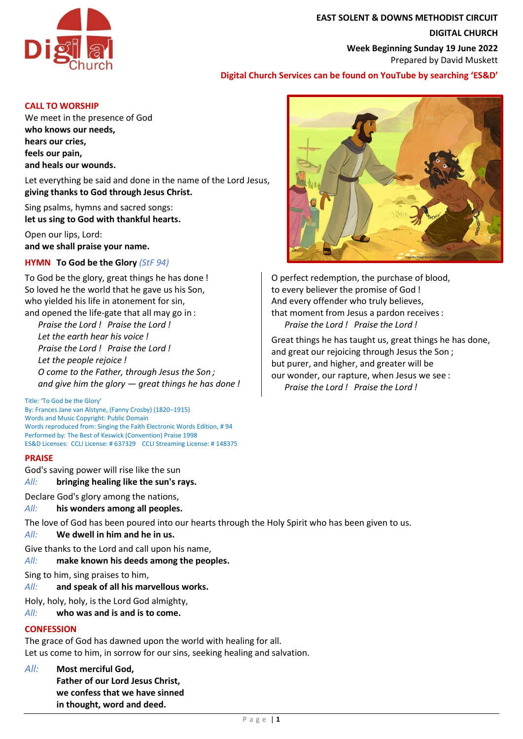

# **EAST SOLENT & DOWNS METHODIST CIRCUIT DIGITAL CHURCH Week Beginning Sunday 19 June 2022** Prepared by David Muskett

# **Digital Church Services can be found on YouTube by searching 'ES&D'**

#### **CALL TO WORSHIP**

We meet in the presence of God **who knows our needs, hears our cries, feels our pain, and heals our wounds.**

Let everything be said and done in the name of the Lord Jesus, **giving thanks to God through Jesus Christ.**

Sing psalms, hymns and sacred songs: **let us sing to God with thankful hearts.**

Open our lips, Lord: **and we shall praise your name.**

# **HYMN To God be the Glory** *(StF 94)*

To God be the glory, great things he has done ! So loved he the world that he gave us his Son, who yielded his life in atonement for sin, and opened the life-gate that all may go in :

*Praise the Lord ! Praise the Lord ! Let the earth hear his voice ! Praise the Lord ! Praise the Lord ! Let the people rejoice ! O come to the Father, through Jesus the Son ; and give him the glory — great things he has done !*

Title: 'To God be the Glory'

By: Frances Jane van Alstyne, (Fanny Crosby) (1820–1915) Words and Music Copyright: Public Domain Words reproduced from: Singing the Faith Electronic Words Edition, # 94 Performed by: The Best of Keswick (Convention) Praise 1998 ES&D Licenses: CCLI License: # 637329 CCLI Streaming License: # 148375

## **PRAISE**

God's saving power will rise like the sun

## *All:* **bringing healing like the sun's rays.**

Declare God's glory among the nations,

*All:* **his wonders among all peoples.**

The love of God has been poured into our hearts through the Holy Spirit who has been given to us.

## *All:* **We dwell in him and he in us.**

Give thanks to the Lord and call upon his name,

*All:* **make known his deeds among the peoples.**

Sing to him, sing praises to him,

*All:* **and speak of all his marvellous works.**

Holy, holy, holy, is the Lord God almighty,

*All:* **who was and is and is to come.**

# **CONFESSION**

The grace of God has dawned upon the world with healing for all. Let us come to him, in sorrow for our sins, seeking healing and salvation.

- *All:* **Most merciful God,**
	- **Father of our Lord Jesus Christ, we confess that we have sinned in thought, word and deed.**



O perfect redemption, the purchase of blood, to every believer the promise of God ! And every offender who truly believes, that moment from Jesus a pardon receives : *Praise the Lord ! Praise the Lord !*

Great things he has taught us, great things he has done, and great our rejoicing through Jesus the Son ; but purer, and higher, and greater will be our wonder, our rapture, when Jesus we see : *Praise the Lord ! Praise the Lord !*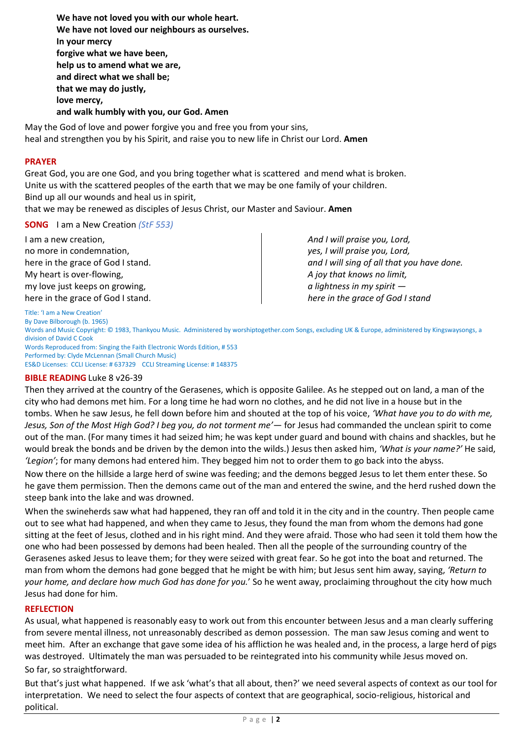**We have not loved you with our whole heart. We have not loved our neighbours as ourselves. In your mercy forgive what we have been, help us to amend what we are, and direct what we shall be; that we may do justly, love mercy, and walk humbly with you, our God. Amen**

May the God of love and power forgive you and free you from your sins, heal and strengthen you by his Spirit, and raise you to new life in Christ our Lord. **Amen**

## **PRAYER**

Great God, you are one God, and you bring together what is scattered and mend what is broken. Unite us with the scattered peoples of the earth that we may be one family of your children. Bind up all our wounds and heal us in spirit,

that we may be renewed as disciples of Jesus Christ, our Master and Saviour. **Amen**

# **SONG** I am a New Creation *(StF 553)*

I am a new creation, no more in condemnation, here in the grace of God I stand. My heart is over-flowing, my love just keeps on growing, here in the grace of God I stand. *And I will praise you, Lord, yes, I will praise you, Lord, and I will sing of all that you have done. A joy that knows no limit, a lightness in my spirit here in the grace of God I stand*

Title: 'I am a New Creation' By Dave Bilborough (b. 1965)

Words and Music Copyright: © 1983, Thankyou Music. Administered by worshiptogether.com Songs, excluding UK & Europe, administered by Kingswaysongs, a division of David C Cook

Words Reproduced from: Singing the Faith Electronic Words Edition, # 553 Performed by: Clyde McLennan (Small Church Music) ES&D Licenses: CCLI License: # 637329 CCLI Streaming License: # 148375

## **BIBLE READING** Luke 8 v26-39

Then they arrived at the country of the Gerasenes, which is opposite Galilee. As he stepped out on land, a man of the city who had demons met him. For a long time he had worn no clothes, and he did not live in a house but in the tombs. When he saw Jesus, he fell down before him and shouted at the top of his voice, *'What have you to do with me, Jesus, Son of the Most High God? I beg you, do not torment me'*— for Jesus had commanded the unclean spirit to come out of the man. (For many times it had seized him; he was kept under guard and bound with chains and shackles, but he would break the bonds and be driven by the demon into the wilds.) Jesus then asked him, *'What is your name?'* He said, *'Legion'*; for many demons had entered him. They begged him not to order them to go back into the abyss.

Now there on the hillside a large herd of swine was feeding; and the demons begged Jesus to let them enter these. So he gave them permission. Then the demons came out of the man and entered the swine, and the herd rushed down the steep bank into the lake and was drowned.

When the swineherds saw what had happened, they ran off and told it in the city and in the country. Then people came out to see what had happened, and when they came to Jesus, they found the man from whom the demons had gone sitting at the feet of Jesus, clothed and in his right mind. And they were afraid. Those who had seen it told them how the one who had been possessed by demons had been healed. Then all the people of the surrounding country of the Gerasenes asked Jesus to leave them; for they were seized with great fear. So he got into the boat and returned. The man from whom the demons had gone begged that he might be with him; but Jesus sent him away, saying, *'Return to your home, and declare how much God has done for you.*' So he went away, proclaiming throughout the city how much Jesus had done for him.

## **REFLECTION**

As usual, what happened is reasonably easy to work out from this encounter between Jesus and a man clearly suffering from severe mental illness, not unreasonably described as demon possession. The man saw Jesus coming and went to meet him. After an exchange that gave some idea of his affliction he was healed and, in the process, a large herd of pigs was destroyed. Ultimately the man was persuaded to be reintegrated into his community while Jesus moved on.

So far, so straightforward.

But that's just what happened. If we ask 'what's that all about, then?' we need several aspects of context as our tool for interpretation. We need to select the four aspects of context that are geographical, socio-religious, historical and political.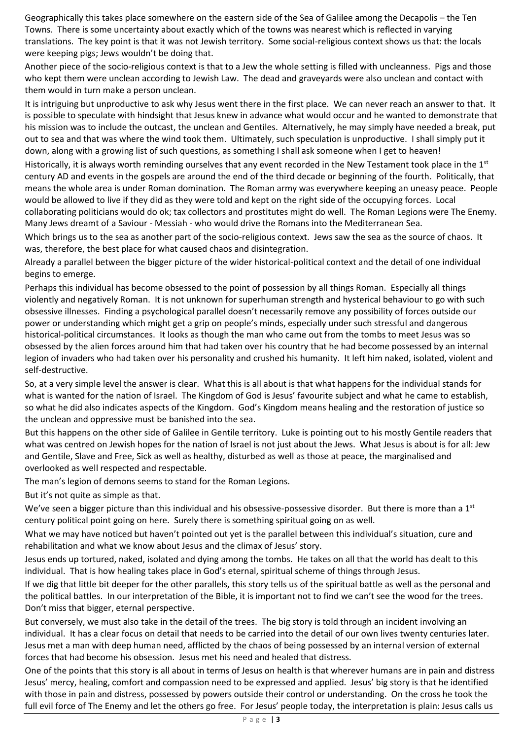Geographically this takes place somewhere on the eastern side of the Sea of Galilee among the Decapolis – the Ten Towns. There is some uncertainty about exactly which of the towns was nearest which is reflected in varying translations. The key point is that it was not Jewish territory. Some social-religious context shows us that: the locals were keeping pigs; Jews wouldn't be doing that.

Another piece of the socio-religious context is that to a Jew the whole setting is filled with uncleanness. Pigs and those who kept them were unclean according to Jewish Law. The dead and graveyards were also unclean and contact with them would in turn make a person unclean.

It is intriguing but unproductive to ask why Jesus went there in the first place. We can never reach an answer to that. It is possible to speculate with hindsight that Jesus knew in advance what would occur and he wanted to demonstrate that his mission was to include the outcast, the unclean and Gentiles. Alternatively, he may simply have needed a break, put out to sea and that was where the wind took them. Ultimately, such speculation is unproductive. I shall simply put it down, along with a growing list of such questions, as something I shall ask someone when I get to heaven!

Historically, it is always worth reminding ourselves that any event recorded in the New Testament took place in the  $1<sup>st</sup>$ century AD and events in the gospels are around the end of the third decade or beginning of the fourth. Politically, that means the whole area is under Roman domination. The Roman army was everywhere keeping an uneasy peace. People would be allowed to live if they did as they were told and kept on the right side of the occupying forces. Local collaborating politicians would do ok; tax collectors and prostitutes might do well. The Roman Legions were The Enemy. Many Jews dreamt of a Saviour - Messiah - who would drive the Romans into the Mediterranean Sea.

Which brings us to the sea as another part of the socio-religious context. Jews saw the sea as the source of chaos. It was, therefore, the best place for what caused chaos and disintegration.

Already a parallel between the bigger picture of the wider historical-political context and the detail of one individual begins to emerge.

Perhaps this individual has become obsessed to the point of possession by all things Roman. Especially all things violently and negatively Roman. It is not unknown for superhuman strength and hysterical behaviour to go with such obsessive illnesses. Finding a psychological parallel doesn't necessarily remove any possibility of forces outside our power or understanding which might get a grip on people's minds, especially under such stressful and dangerous historical-political circumstances. It looks as though the man who came out from the tombs to meet Jesus was so obsessed by the alien forces around him that had taken over his country that he had become possessed by an internal legion of invaders who had taken over his personality and crushed his humanity. It left him naked, isolated, violent and self-destructive.

So, at a very simple level the answer is clear. What this is all about is that what happens for the individual stands for what is wanted for the nation of Israel. The Kingdom of God is Jesus' favourite subject and what he came to establish, so what he did also indicates aspects of the Kingdom. God's Kingdom means healing and the restoration of justice so the unclean and oppressive must be banished into the sea.

But this happens on the other side of Galilee in Gentile territory. Luke is pointing out to his mostly Gentile readers that what was centred on Jewish hopes for the nation of Israel is not just about the Jews. What Jesus is about is for all: Jew and Gentile, Slave and Free, Sick as well as healthy, disturbed as well as those at peace, the marginalised and overlooked as well respected and respectable.

The man's legion of demons seems to stand for the Roman Legions.

But it's not quite as simple as that.

We've seen a bigger picture than this individual and his obsessive-possessive disorder. But there is more than a 1st century political point going on here. Surely there is something spiritual going on as well.

What we may have noticed but haven't pointed out yet is the parallel between this individual's situation, cure and rehabilitation and what we know about Jesus and the climax of Jesus' story.

Jesus ends up tortured, naked, isolated and dying among the tombs. He takes on all that the world has dealt to this individual. That is how healing takes place in God's eternal, spiritual scheme of things through Jesus.

If we dig that little bit deeper for the other parallels, this story tells us of the spiritual battle as well as the personal and the political battles. In our interpretation of the Bible, it is important not to find we can't see the wood for the trees. Don't miss that bigger, eternal perspective.

But conversely, we must also take in the detail of the trees. The big story is told through an incident involving an individual. It has a clear focus on detail that needs to be carried into the detail of our own lives twenty centuries later. Jesus met a man with deep human need, afflicted by the chaos of being possessed by an internal version of external forces that had become his obsession. Jesus met his need and healed that distress.

One of the points that this story is all about in terms of Jesus on health is that wherever humans are in pain and distress Jesus' mercy, healing, comfort and compassion need to be expressed and applied. Jesus' big story is that he identified with those in pain and distress, possessed by powers outside their control or understanding. On the cross he took the full evil force of The Enemy and let the others go free. For Jesus' people today, the interpretation is plain: Jesus calls us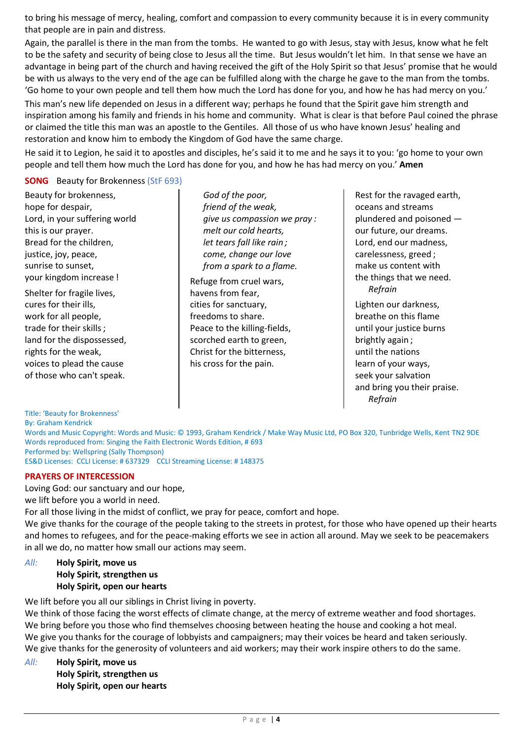to bring his message of mercy, healing, comfort and compassion to every community because it is in every community that people are in pain and distress.

Again, the parallel is there in the man from the tombs. He wanted to go with Jesus, stay with Jesus, know what he felt to be the safety and security of being close to Jesus all the time. But Jesus wouldn't let him. In that sense we have an advantage in being part of the church and having received the gift of the Holy Spirit so that Jesus' promise that he would be with us always to the very end of the age can be fulfilled along with the charge he gave to the man from the tombs. 'Go home to your own people and tell them how much the Lord has done for you, and how he has had mercy on you.' This man's new life depended on Jesus in a different way; perhaps he found that the Spirit gave him strength and inspiration among his family and friends in his home and community. What is clear is that before Paul coined the phrase or claimed the title this man was an apostle to the Gentiles. All those of us who have known Jesus' healing and restoration and know him to embody the Kingdom of God have the same charge.

He said it to Legion, he said it to apostles and disciples, he's said it to me and he says it to you: 'go home to your own people and tell them how much the Lord has done for you, and how he has had mercy on you.' **Amen**

**SONG** Beauty for Brokenness (StF 693)

Beauty for brokenness, hope for despair, Lord, in your suffering world this is our prayer. Bread for the children, justice, joy, peace, sunrise to sunset, your kingdom increase !

Shelter for fragile lives, cures for their ills, work for all people, trade for their skills ; land for the dispossessed, rights for the weak, voices to plead the cause of those who can't speak.

*God of the poor, friend of the weak, give us compassion we pray : melt our cold hearts, let tears fall like rain ; come, change our love from a spark to a flame.*

Refuge from cruel wars, havens from fear, cities for sanctuary, freedoms to share. Peace to the killing-fields, scorched earth to green, Christ for the bitterness, his cross for the pain.

Rest for the ravaged earth, oceans and streams plundered and poisoned our future, our dreams. Lord, end our madness, carelessness, greed ; make us content with the things that we need. *Refrain* Lighten our darkness, breathe on this flame until your justice burns brightly again ; until the nations learn of your ways, seek your salvation and bring you their praise. *Refrain*

Title: 'Beauty for Brokenness' By: Graham Kendrick Words and Music Copyright: Words and Music: © 1993, Graham Kendrick / Make Way Music Ltd, PO Box 320, Tunbridge Wells, Kent TN2 9DE Words reproduced from: Singing the Faith Electronic Words Edition, # 693 Performed by: Wellspring (Sally Thompson) ES&D Licenses: CCLI License: # 637329 CCLI Streaming License: # 148375

# **PRAYERS OF INTERCESSION**

Loving God: our sanctuary and our hope,

we lift before you a world in need.

For all those living in the midst of conflict, we pray for peace, comfort and hope.

We give thanks for the courage of the people taking to the streets in protest, for those who have opened up their hearts and homes to refugees, and for the peace-making efforts we see in action all around. May we seek to be peacemakers in all we do, no matter how small our actions may seem.

# *All:* **Holy Spirit, move us Holy Spirit, strengthen us Holy Spirit, open our hearts**

We lift before you all our siblings in Christ living in poverty.

We think of those facing the worst effects of climate change, at the mercy of extreme weather and food shortages. We bring before you those who find themselves choosing between heating the house and cooking a hot meal. We give you thanks for the courage of lobbyists and campaigners; may their voices be heard and taken seriously. We give thanks for the generosity of volunteers and aid workers; may their work inspire others to do the same.

*All:* **Holy Spirit, move us Holy Spirit, strengthen us Holy Spirit, open our hearts**